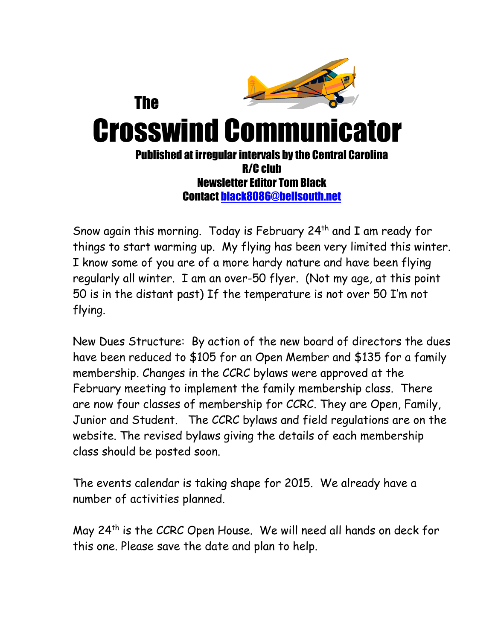

Snow again this morning. Today is February  $24<sup>th</sup>$  and I am ready for things to start warming up. My flying has been very limited this winter. I know some of you are of a more hardy nature and have been flying regularly all winter. I am an over-50 flyer. (Not my age, at this point 50 is in the distant past) If the temperature is not over 50 I'm not flying.

New Dues Structure: By action of the new board of directors the dues have been reduced to \$105 for an Open Member and \$135 for a family membership. Changes in the CCRC bylaws were approved at the February meeting to implement the family membership class. There are now four classes of membership for CCRC. They are Open, Family, Junior and Student. The CCRC bylaws and field regulations are on the website. The revised bylaws giving the details of each membership class should be posted soon.

The events calendar is taking shape for 2015. We already have a number of activities planned.

May 24th is the CCRC Open House. We will need all hands on deck for this one. Please save the date and plan to help.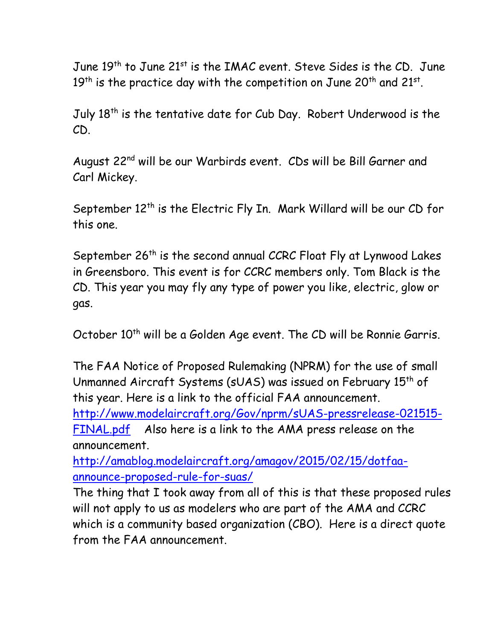June 19<sup>th</sup> to June 21<sup>st</sup> is the IMAC event. Steve Sides is the CD. June  $19^{\sf th}$  is the practice day with the competition on June 20 $^{\sf th}$  and 21 $^{\sf st}$ .

July 18<sup>th</sup> is the tentative date for Cub Day. Robert Underwood is the CD.

August 22nd will be our Warbirds event. CDs will be Bill Garner and Carl Mickey.

September 12<sup>th</sup> is the Electric Fly In. Mark Willard will be our CD for this one.

September 26<sup>th</sup> is the second annual CCRC Float Fly at Lynwood Lakes in Greensboro. This event is for CCRC members only. Tom Black is the CD. This year you may fly any type of power you like, electric, glow or gas.

October 10<sup>th</sup> will be a Golden Age event. The CD will be Ronnie Garris.

The FAA Notice of Proposed Rulemaking (NPRM) for the use of small Unmanned Aircraft Systems (sUAS) was issued on February 15<sup>th</sup> of this year. Here is a link to the official FAA announcement.

[http://www.modelaircraft.org/Gov/nprm/sUAS-pressrelease-021515-](http://www.modelaircraft.org/Gov/nprm/sUAS-pressrelease-021515-FINAL.pdf) [FINAL.pdf](http://www.modelaircraft.org/Gov/nprm/sUAS-pressrelease-021515-FINAL.pdf) Also here is a link to the AMA press release on the announcement.

[http://amablog.modelaircraft.org/amagov/2015/02/15/dotfaa](http://amablog.modelaircraft.org/amagov/2015/02/15/dotfaa-announce-proposed-rule-for-suas/)[announce-proposed-rule-for-suas/](http://amablog.modelaircraft.org/amagov/2015/02/15/dotfaa-announce-proposed-rule-for-suas/)

The thing that I took away from all of this is that these proposed rules will not apply to us as modelers who are part of the AMA and CCRC which is a community based organization (CBO). Here is a direct quote from the FAA announcement.